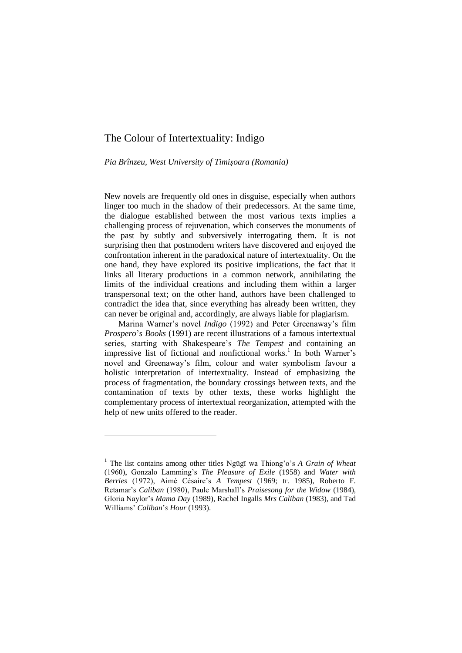# The Colour of Intertextuality: Indigo

*Pia Brînzeu, West University of Timişoara (Romania)*

New novels are frequently old ones in disguise, especially when authors linger too much in the shadow of their predecessors. At the same time, the dialogue established between the most various texts implies a challenging process of rejuvenation, which conserves the monuments of the past by subtly and subversively interrogating them. It is not surprising then that postmodern writers have discovered and enjoyed the confrontation inherent in the paradoxical nature of intertextuality. On the one hand, they have explored its positive implications, the fact that it links all literary productions in a common network, annihilating the limits of the individual creations and including them within a larger transpersonal text; on the other hand, authors have been challenged to contradict the idea that, since everything has already been written, they can never be original and, accordingly, are always liable for plagiarism.

Marina Warner's novel *Indigo* (1992) and Peter Greenaway's film *Prospero*"*s Books* (1991) are recent illustrations of a famous intertextual series, starting with Shakespeare's *The Tempest* and containing an impressive list of fictional and nonfictional works.<sup>1</sup> In both Warner's novel and Greenaway"s film, colour and water symbolism favour a holistic interpretation of intertextuality. Instead of emphasizing the process of fragmentation, the boundary crossings between texts, and the contamination of texts by other texts, these works highlight the complementary process of intertextual reorganization, attempted with the help of new units offered to the reader.

-

<sup>&</sup>lt;sup>1</sup> The list contains among other titles Ngūgī wa Thiong'o's *A Grain of Wheat* (1960), Gonzalo Lamming"s *The Pleasure of Exile* (1958) and *Water with Berries* (1972), Aimé Césaire"s *A Tempest* (1969; tr. 1985), Roberto F. Retamar"s *Caliban* (1980), Paule Marshall"s *Praisesong for the Widow* (1984), Gloria Naylor"s *Mama Day* (1989), Rachel Ingalls *Mrs Caliban* (1983)*,* and Tad Williams" *Caliban*"*s Hour* (1993).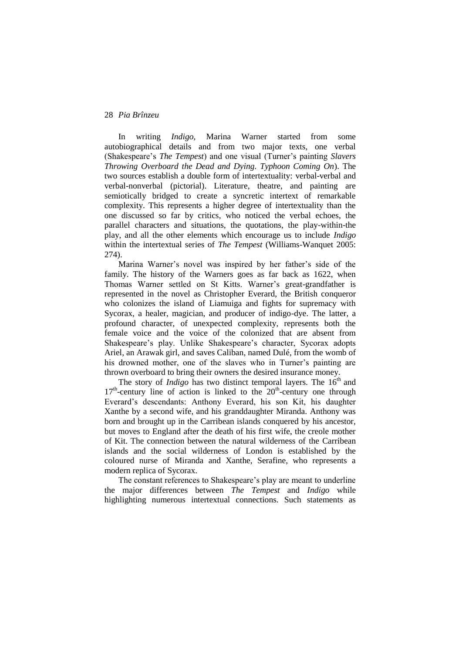In writing *Indigo*, Marina Warner started from some autobiographical details and from two major texts, one verbal (Shakespeare"s *The Tempest*) and one visual (Turner"s painting *Slavers Throwing Overboard the Dead and Dying. Typhoon Coming On*). The two sources establish a double form of intertextuality: verbal-verbal and verbal-nonverbal (pictorial). Literature, theatre, and painting are semiotically bridged to create a syncretic intertext of remarkable complexity. This represents a higher degree of intertextuality than the one discussed so far by critics, who noticed the verbal echoes, the parallel characters and situations, the quotations, the play-within-the play, and all the other elements which encourage us to include *Indigo* within the intertextual series of *The Tempest* (Williams-Wanquet 2005: 274).

Marina Warner's novel was inspired by her father's side of the family. The history of the Warners goes as far back as 1622, when Thomas Warner settled on St Kitts. Warner"s great-grandfather is represented in the novel as Christopher Everard, the British conqueror who colonizes the island of Liamuiga and fights for supremacy with Sycorax, a healer, magician, and producer of indigo-dye. The latter, a profound character, of unexpected complexity, represents both the female voice and the voice of the colonized that are absent from Shakespeare's play. Unlike Shakespeare's character, Sycorax adopts Ariel, an Arawak girl, and saves Caliban, named Dulé, from the womb of his drowned mother, one of the slaves who in Turner's painting are thrown overboard to bring their owners the desired insurance money.

The story of *Indigo* has two distinct temporal layers. The 16<sup>th</sup> and 17<sup>th</sup>-century line of action is linked to the 20<sup>th</sup>-century one through Everard"s descendants: Anthony Everard, his son Kit, his daughter Xanthe by a second wife, and his granddaughter Miranda. Anthony was born and brought up in the Carribean islands conquered by his ancestor, but moves to England after the death of his first wife, the creole mother of Kit. The connection between the natural wilderness of the Carribean islands and the social wilderness of London is established by the coloured nurse of Miranda and Xanthe, Serafine, who represents a modern replica of Sycorax.

The constant references to Shakespeare's play are meant to underline the major differences between *The Tempest* and *Indigo* while highlighting numerous intertextual connections. Such statements as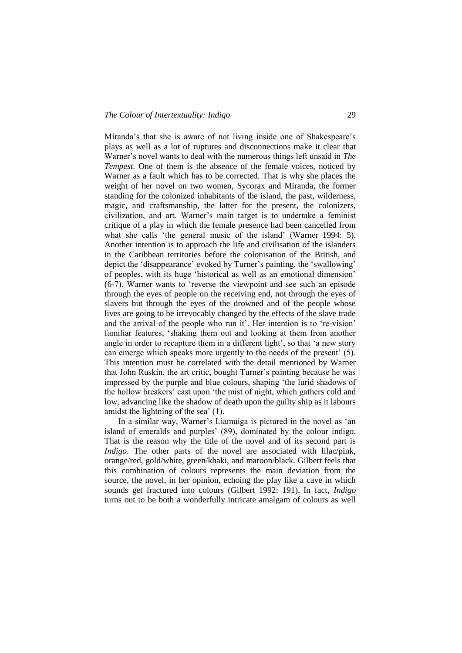Miranda's that she is aware of not living inside one of Shakespeare's plays as well as a lot of ruptures and disconnections make it clear that Warner"s novel wants to deal with the numerous things left unsaid in *The Tempest*. One of them is the absence of the female voices, noticed by Warner as a fault which has to be corrected. That is why she places the weight of her novel on two women, Sycorax and Miranda, the former standing for the colonized inhabitants of the island, the past, wilderness, magic, and craftsmanship, the latter for the present, the colonizers, civilization, and art. Warner"s main target is to undertake a feminist critique of a play in which the female presence had been cancelled from what she calls 'the general music of the island' (Warner 1994: 5). Another intention is to approach the life and civilisation of the islanders in the Caribbean territories before the colonisation of the British, and depict the 'disappearance' evoked by Turner's painting, the 'swallowing' of peoples, with its huge "historical as well as an emotional dimension" (6-7). Warner wants to "reverse the viewpoint and see such an episode through the eyes of people on the receiving end, not through the eyes of slavers but through the eyes of the drowned and of the people whose lives are going to be irrevocably changed by the effects of the slave trade and the arrival of the people who run it'. Her intention is to 're-vision' familiar features, "shaking them out and looking at them from another angle in order to recapture them in a different light', so that 'a new story can emerge which speaks more urgently to the needs of the present' (5). This intention must be correlated with the detail mentioned by Warner that John Ruskin, the art critic, bought Turner"s painting because he was impressed by the purple and blue colours, shaping "the lurid shadows of the hollow breakers" cast upon "the mist of night, which gathers cold and low, advancing like the shadow of death upon the guilty ship as it labours amidst the lightning of the sea' (1).

In a similar way, Warner"s Liamuiga is pictured in the novel as "an island of emeralds and purples' (89), dominated by the colour indigo. That is the reason why the title of the novel and of its second part is *Indigo*. The other parts of the novel are associated with lilac/pink, orange/red, gold/white, green/khaki, and maroon/black. Gilbert feels that this combination of colours represents the main deviation from the source, the novel, in her opinion, echoing the play like a cave in which sounds get fractured into colours (Gilbert 1992: 191). In fact, *Indigo*  turns out to be both a wonderfully intricate amalgam of colours as well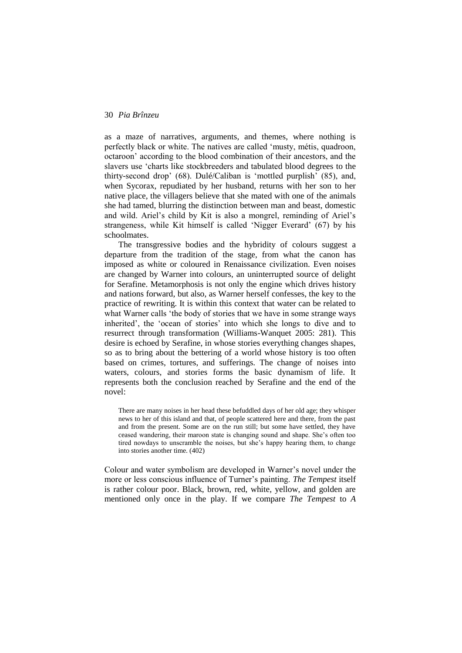as a maze of narratives, arguments, and themes, where nothing is perfectly black or white. The natives are called "musty, métis, quadroon, octaroon" according to the blood combination of their ancestors, and the slavers use "charts like stockbreeders and tabulated blood degrees to the thirty-second drop" (68). Dulé/Caliban is "mottled purplish" (85), and, when Sycorax, repudiated by her husband, returns with her son to her native place, the villagers believe that she mated with one of the animals she had tamed, blurring the distinction between man and beast, domestic and wild. Ariel"s child by Kit is also a mongrel, reminding of Ariel"s strangeness, while Kit himself is called "Nigger Everard" (67) by his schoolmates.

The transgressive bodies and the hybridity of colours suggest a departure from the tradition of the stage, from what the canon has imposed as white or coloured in Renaissance civilization. Even noises are changed by Warner into colours, an uninterrupted source of delight for Serafine. Metamorphosis is not only the engine which drives history and nations forward, but also, as Warner herself confesses, the key to the practice of rewriting. It is within this context that water can be related to what Warner calls 'the body of stories that we have in some strange ways inherited", the "ocean of stories" into which she longs to dive and to resurrect through transformation (Williams-Wanquet 2005: 281). This desire is echoed by Serafine, in whose stories everything changes shapes, so as to bring about the bettering of a world whose history is too often based on crimes, tortures, and sufferings. The change of noises into waters, colours, and stories forms the basic dynamism of life. It represents both the conclusion reached by Serafine and the end of the novel:

There are many noises in her head these befuddled days of her old age; they whisper news to her of this island and that, of people scattered here and there, from the past and from the present. Some are on the run still; but some have settled, they have ceased wandering, their maroon state is changing sound and shape. She"s often too tired nowdays to unscramble the noises, but she"s happy hearing them, to change into stories another time. (402)

Colour and water symbolism are developed in Warner"s novel under the more or less conscious influence of Turner"s painting. *The Tempest* itself is rather colour poor. Black, brown, red, white, yellow, and golden are mentioned only once in the play. If we compare *The Tempest* to *A*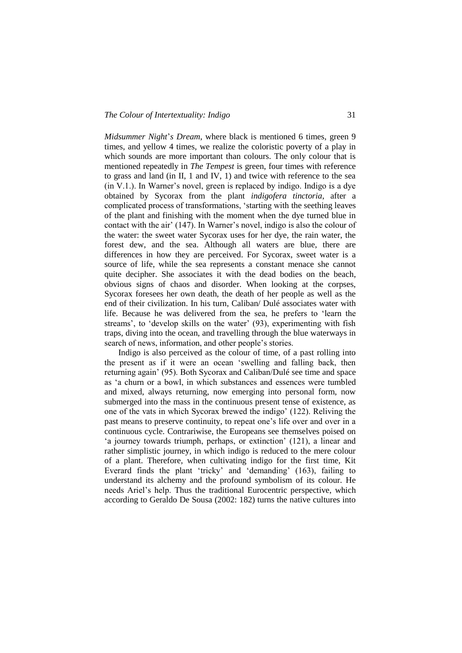*Midsummer Night*"*s Dream*, where black is mentioned 6 times, green 9 times, and yellow 4 times, we realize the coloristic poverty of a play in which sounds are more important than colours. The only colour that is mentioned repeatedly in *The Tempest* is green, four times with reference to grass and land (in II, 1 and IV, 1) and twice with reference to the sea  $(in V.1.)$ . In Warner's novel, green is replaced by indigo. Indigo is a dye obtained by Sycorax from the plant *indigofera tinctoria*, after a complicated process of transformations, "starting with the seething leaves of the plant and finishing with the moment when the dye turned blue in contact with the air" (147). In Warner"s novel, indigo is also the colour of the water: the sweet water Sycorax uses for her dye, the rain water, the forest dew, and the sea. Although all waters are blue, there are differences in how they are perceived. For Sycorax, sweet water is a source of life, while the sea represents a constant menace she cannot quite decipher. She associates it with the dead bodies on the beach, obvious signs of chaos and disorder. When looking at the corpses, Sycorax foresees her own death, the death of her people as well as the end of their civilization. In his turn, Caliban/ Dulé associates water with life. Because he was delivered from the sea, he prefers to "learn the streams', to 'develop skills on the water' (93), experimenting with fish traps, diving into the ocean, and travelling through the blue waterways in search of news, information, and other people's stories.

Indigo is also perceived as the colour of time, of a past rolling into the present as if it were an ocean "swelling and falling back, then returning again" (95). Both Sycorax and Caliban/Dulé see time and space as "a churn or a bowl, in which substances and essences were tumbled and mixed, always returning, now emerging into personal form, now submerged into the mass in the continuous present tense of existence, as one of the vats in which Sycorax brewed the indigo" (122). Reliving the past means to preserve continuity, to repeat one"s life over and over in a continuous cycle. Contrariwise, the Europeans see themselves poised on "a journey towards triumph, perhaps, or extinction" (121), a linear and rather simplistic journey, in which indigo is reduced to the mere colour of a plant. Therefore, when cultivating indigo for the first time, Kit Everard finds the plant 'tricky' and 'demanding' (163), failing to understand its alchemy and the profound symbolism of its colour. He needs Ariel"s help. Thus the traditional Eurocentric perspective, which according to Geraldo De Sousa (2002: 182) turns the native cultures into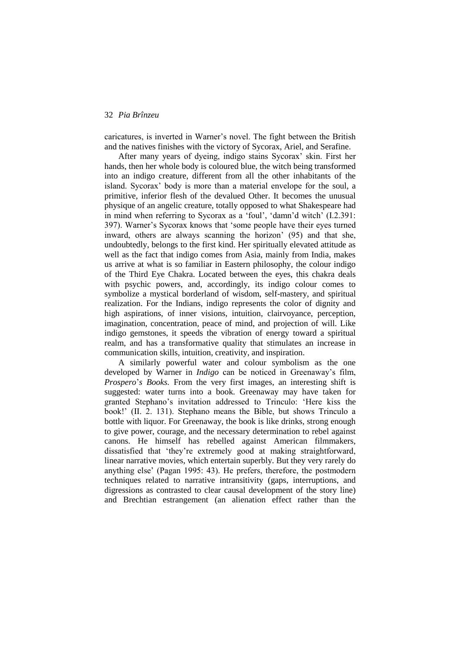caricatures, is inverted in Warner"s novel. The fight between the British and the natives finishes with the victory of Sycorax, Ariel, and Serafine.

After many years of dyeing, indigo stains Sycorax" skin. First her hands, then her whole body is coloured blue, the witch being transformed into an indigo creature, different from all the other inhabitants of the island. Sycorax" body is more than a material envelope for the soul, a primitive, inferior flesh of the devalued Other. It becomes the unusual physique of an angelic creature, totally opposed to what Shakespeare had in mind when referring to Sycorax as a 'foul', 'damn'd witch' (I.2.391: 397). Warner"s Sycorax knows that "some people have their eyes turned inward, others are always scanning the horizon" (95) and that she, undoubtedly, belongs to the first kind. Her spiritually elevated attitude as well as the fact that indigo comes from Asia, mainly from India, makes us arrive at what is so familiar in Eastern philosophy, the colour indigo of the Third Eye Chakra. Located between the eyes, this chakra deals with psychic powers, and, accordingly, its indigo colour comes to symbolize a mystical borderland of wisdom, self-mastery, and spiritual realization. For the Indians, indigo represents the color of dignity and high aspirations, of inner visions, intuition, clairvoyance, perception, imagination, concentration, peace of mind, and projection of will. Like indigo gemstones, it speeds the vibration of energy toward a spiritual realm, and has a transformative quality that stimulates an increase in communication skills, intuition, creativity, and inspiration.

A similarly powerful water and colour symbolism as the one developed by Warner in *Indigo* can be noticed in Greenaway's film, *Prospero*"*s Books.* From the very first images, an interesting shift is suggested: water turns into a book. Greenaway may have taken for granted Stephano"s invitation addressed to Trinculo: "Here kiss the book!" (II. 2. 131). Stephano means the Bible, but shows Trinculo a bottle with liquor. For Greenaway, the book is like drinks, strong enough to give power, courage, and the necessary determination to rebel against canons. He himself has rebelled against American filmmakers, dissatisfied that "they"re extremely good at making straightforward, linear narrative movies, which entertain superbly. But they very rarely do anything else" (Pagan 1995: 43). He prefers, therefore, the postmodern techniques related to narrative intransitivity (gaps, interruptions, and digressions as contrasted to clear causal development of the story line) and Brechtian estrangement (an alienation effect rather than the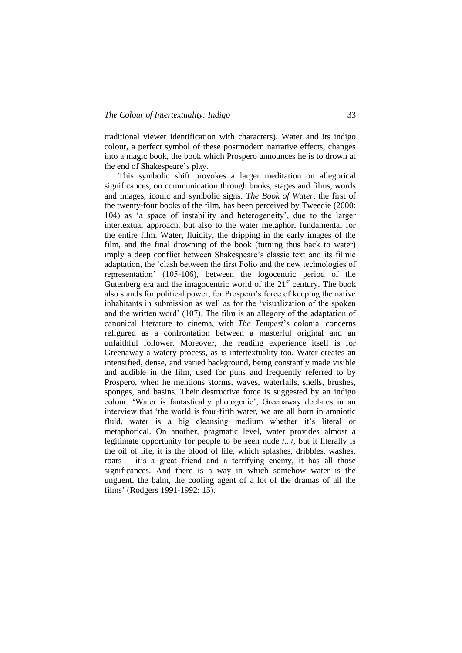traditional viewer identification with characters). Water and its indigo colour, a perfect symbol of these postmodern narrative effects, changes into a magic book, the book which Prospero announces he is to drown at the end of Shakespeare's play.

This symbolic shift provokes a larger meditation on allegorical significances, on communication through books, stages and films, words and images, iconic and symbolic signs. *The Book of Water*, the first of the twenty-four books of the film, has been perceived by Tweedie (2000: 104) as "a space of instability and heterogeneity", due to the larger intertextual approach, but also to the water metaphor, fundamental for the entire film. Water, fluidity, the dripping in the early images of the film, and the final drowning of the book (turning thus back to water) imply a deep conflict between Shakespeare's classic text and its filmic adaptation, the "clash between the first Folio and the new technologies of representation" (105-106), between the logocentric period of the Gutenberg era and the imagocentric world of the  $21<sup>st</sup>$  century. The book also stands for political power, for Prospero"s force of keeping the native inhabitants in submission as well as for the "visualization of the spoken and the written word" (107). The film is an allegory of the adaptation of canonical literature to cinema, with *The Tempest*"s colonial concerns refigured as a confrontation between a masterful original and an unfaithful follower. Moreover, the reading experience itself is for Greenaway a watery process, as is intertextuality too. Water creates an intensified, dense, and varied background, being constantly made visible and audible in the film, used for puns and frequently referred to by Prospero, when he mentions storms, waves, waterfalls, shells, brushes, sponges, and basins. Their destructive force is suggested by an indigo colour. "Water is fantastically photogenic", Greenaway declares in an interview that "the world is four-fifth water, we are all born in amniotic fluid, water is a big cleansing medium whether it's literal or metaphorical. On another, pragmatic level, water provides almost a legitimate opportunity for people to be seen nude /.../, but it literally is the oil of life, it is the blood of life, which splashes, dribbles, washes, roars – it's a great friend and a terrifying enemy, it has all those significances. And there is a way in which somehow water is the unguent, the balm, the cooling agent of a lot of the dramas of all the films" (Rodgers 1991-1992: 15).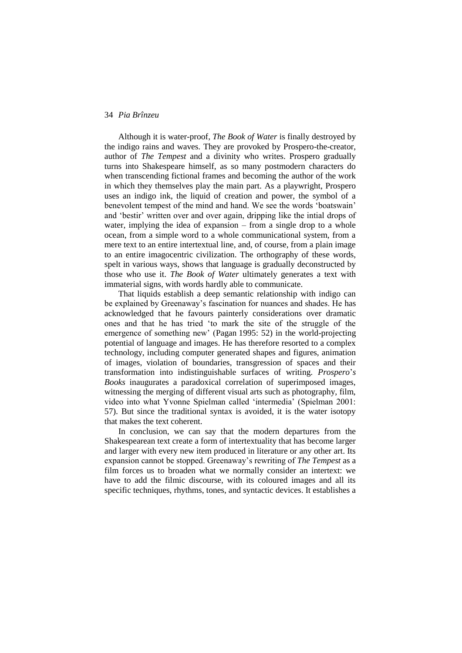Although it is water-proof, *The Book of Water* is finally destroyed by the indigo rains and waves. They are provoked by Prospero-the-creator, author of *The Tempest* and a divinity who writes. Prospero gradually turns into Shakespeare himself, as so many postmodern characters do when transcending fictional frames and becoming the author of the work in which they themselves play the main part*.* As a playwright, Prospero uses an indigo ink, the liquid of creation and power, the symbol of a benevolent tempest of the mind and hand. We see the words "boatswain" and "bestir" written over and over again, dripping like the intial drops of water, implying the idea of expansion – from a single drop to a whole ocean, from a simple word to a whole communicational system, from a mere text to an entire intertextual line, and, of course, from a plain image to an entire imagocentric civilization. The orthography of these words, spelt in various ways, shows that language is gradually deconstructed by those who use it. *The Book of Water* ultimately generates a text with immaterial signs, with words hardly able to communicate.

That liquids establish a deep semantic relationship with indigo can be explained by Greenaway"s fascination for nuances and shades. He has acknowledged that he favours painterly considerations over dramatic ones and that he has tried "to mark the site of the struggle of the emergence of something new" (Pagan 1995: 52) in the world-projecting potential of language and images. He has therefore resorted to a complex technology, including computer generated shapes and figures, animation of images, violation of boundaries, transgression of spaces and their transformation into indistinguishable surfaces of writing. *Prospero*"*s Books* inaugurates a paradoxical correlation of superimposed images, witnessing the merging of different visual arts such as photography, film, video into what Yvonne Spielman called "intermedia" (Spielman 2001: 57). But since the traditional syntax is avoided, it is the water isotopy that makes the text coherent.

In conclusion, we can say that the modern departures from the Shakespearean text create a form of intertextuality that has become larger and larger with every new item produced in literature or any other art. Its expansion cannot be stopped. Greenaway"s rewriting of *The Tempest* as a film forces us to broaden what we normally consider an intertext: we have to add the filmic discourse, with its coloured images and all its specific techniques, rhythms, tones, and syntactic devices. It establishes a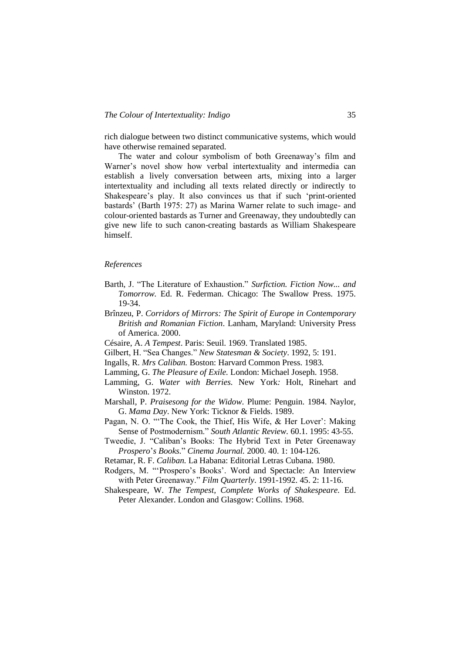rich dialogue between two distinct communicative systems, which would have otherwise remained separated.

The water and colour symbolism of both Greenaway"s film and Warner"s novel show how verbal intertextuality and intermedia can establish a lively conversation between arts, mixing into a larger intertextuality and including all texts related directly or indirectly to Shakespeare"s play. It also convinces us that if such "print-oriented bastards" (Barth 1975: 27) as Marina Warner relate to such image- and colour-oriented bastards as Turner and Greenaway, they undoubtedly can give new life to such canon-creating bastards as William Shakespeare himself.

#### *References*

- Barth, J. "The Literature of Exhaustion." *Surfiction. Fiction Now... and Tomorrow.* Ed. R. Federman. Chicago: The Swallow Press. 1975. 19-34.
- Brînzeu, P. *Corridors of Mirrors: The Spirit of Europe in Contemporary British and Romanian Fiction*. Lanham, Maryland: University Press of America. 2000.
- Césaire, A. *A Tempest*. Paris: Seuil. 1969. Translated 1985.
- Gilbert, H. "Sea Changes." *New Statesman & Society*. 1992, 5: 191.
- Ingalls, R. *Mrs Caliban.* Boston: Harvard Common Press. 1983.
- Lamming, G. *The Pleasure of Exile.* London: Michael Joseph. 1958.
- Lamming, G. *Water with Berries.* New York*:* Holt, Rinehart and Winston. 1972.
- Marshall, P. *Praisesong for the Widow*. Plume: Penguin. 1984. Naylor, G. *Mama Day*. New York: Ticknor & Fields. 1989.
- Pagan, N. O. "The Cook, the Thief, His Wife, & Her Lover': Making Sense of Postmodernism." *South Atlantic Review.* 60.1. 1995: 43-55.
- Tweedie, J. "Caliban"s Books: The Hybrid Text in Peter Greenaway *Prospero*"*s Books.*" *Cinema Journal.* 2000. 40. 1: 104-126.
- Retamar, R. F. *Caliban.* La Habana: Editorial Letras Cubana. 1980.
- Rodgers, M. ""Prospero"s Books". Word and Spectacle: An Interview with Peter Greenaway." *Film Quarterly*. 1991-1992. 45. 2: 11-16.
- Shakespeare, W. *The Tempest, Complete Works of Shakespeare.* Ed. Peter Alexander. London and Glasgow: Collins. 1968.